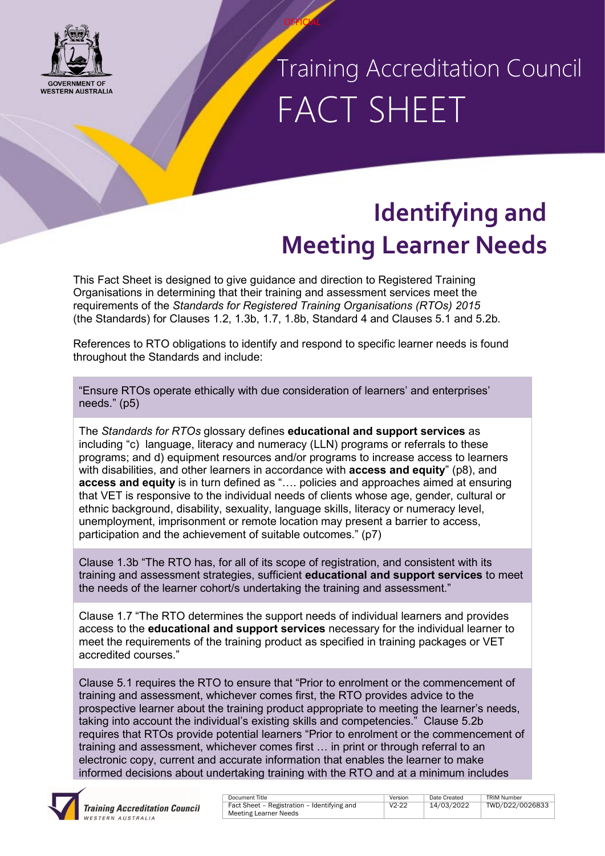

### Training Accreditation Council FACT SHEET

### **Identifying and Meeting Learner Needs**

This Fact Sheet is designed to give guidance and direction to Registered Training Organisations in determining that their training and assessment services meet the requirements of the *Standards for Registered Training Organisations (RTOs) 2015* (the Standards) for Clauses 1.2, 1.3b, 1.7, 1.8b, Standard 4 and Clauses 5.1 and 5.2b.

**OFFICIAL** 

References to RTO obligations to identify and respond to specific learner needs is found throughout the Standards and include:

"Ensure RTOs operate ethically with due consideration of learners' and enterprises' needs." (p5)

The *Standards for RTOs* glossary defines **educational and support services** as including "c) language, literacy and numeracy (LLN) programs or referrals to these programs; and d) equipment resources and/or programs to increase access to learners with disabilities, and other learners in accordance with **access and equity**" (p8), and **access and equity** is in turn defined as "…. policies and approaches aimed at ensuring that VET is responsive to the individual needs of clients whose age, gender, cultural or ethnic background, disability, sexuality, language skills, literacy or numeracy level, unemployment, imprisonment or remote location may present a barrier to access, participation and the achievement of suitable outcomes." (p7)

Clause 1.3b "The RTO has, for all of its scope of registration, and consistent with its training and assessment strategies, sufficient **educational and support services** to meet the needs of the learner cohort/s undertaking the training and assessment."

Clause 1.7 "The RTO determines the support needs of individual learners and provides access to the **educational and support services** necessary for the individual learner to meet the requirements of the training product as specified in training packages or VET accredited courses."

Clause 5.1 requires the RTO to ensure that "Prior to enrolment or the commencement of training and assessment, whichever comes first, the RTO provides advice to the prospective learner about the training product appropriate to meeting the learner's needs, taking into account the individual's existing skills and competencies." Clause 5.2b requires that RTOs provide potential learners "Prior to enrolment or the commencement of training and assessment, whichever comes first … in print or through referral to an electronic copy, current and accurate information that enables the learner to make informed decisions about undertaking training with the RTO and at a minimum includes



| Document Title                              | Version   | Date Created | <b>TRIM Number</b> |
|---------------------------------------------|-----------|--------------|--------------------|
| Fact Sheet - Registration - Identifying and | $V2 - 22$ | 14/03/2022   | TWD/D22/0026833    |
| <b>Meeting Learner Needs</b>                |           |              |                    |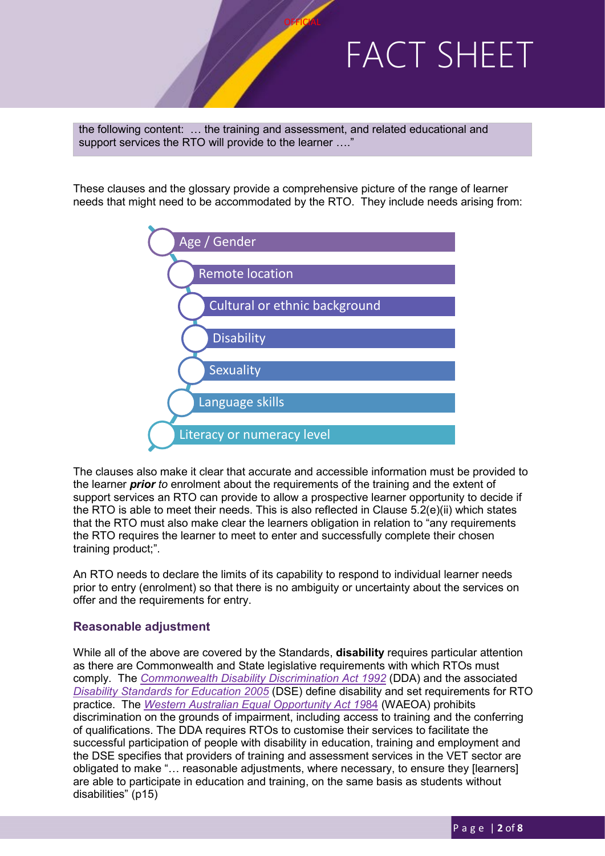the following content: … the training and assessment, and related educational and support services the RTO will provide to the learner ....'

These clauses and the glossary provide a comprehensive picture of the range of learner needs that might need to be accommodated by the RTO. They include needs arising from:

**OFFICIAL** 



The clauses also make it clear that accurate and accessible information must be provided to the learner *prior to* enrolment about the requirements of the training and the extent of support services an RTO can provide to allow a prospective learner opportunity to decide if the RTO is able to meet their needs. This is also reflected in Clause 5.2(e)(ii) which states that the RTO must also make clear the learners obligation in relation to "any requirements the RTO requires the learner to meet to enter and successfully complete their chosen training product;".

An RTO needs to declare the limits of its capability to respond to individual learner needs prior to entry (enrolment) so that there is no ambiguity or uncertainty about the services on offer and the requirements for entry.

#### **Reasonable adjustment**

While all of the above are covered by the Standards, **disability** requires particular attention as there are Commonwealth and State legislative requirements with which RTOs must comply. The *[Commonwealth Disability Discrimination Act 1992](https://www.legislation.gov.au/Details/C2018C00125)* (DDA) and the associated *[Disability Standards for Education 2005](https://www.education.gov.au/disability-standards-education-2005)* (DSE) define disability and set requirements for RTO practice. The *[Western Australian Equal Opportunity Act 19](https://www.legislation.wa.gov.au/legislation/statutes.nsf/main_mrtitle_305_homepage.html)*84 (WAEOA) prohibits discrimination on the grounds of impairment, including access to training and the conferring of qualifications. The DDA requires RTOs to customise their services to facilitate the successful participation of people with disability in education, training and employment and the DSE specifies that providers of training and assessment services in the VET sector are obligated to make "… reasonable adjustments, where necessary, to ensure they [learners] are able to participate in education and training, on the same basis as students without disabilities" (p15)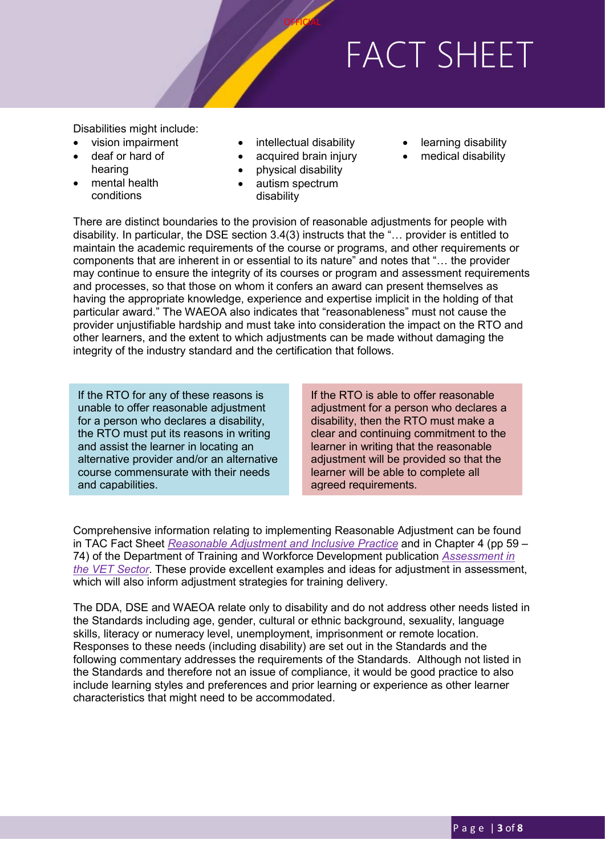Disabilities might include:

- vision impairment
- deaf or hard of
- hearing mental health
- conditions
- intellectual disability

**OFFICIAL** 

- acquired brain injury
- physical disability
- autism spectrum disability
- learning disability
- medical disability

There are distinct boundaries to the provision of reasonable adjustments for people with disability. In particular, the DSE section 3.4(3) instructs that the "… provider is entitled to maintain the academic requirements of the course or programs, and other requirements or components that are inherent in or essential to its nature" and notes that "… the provider may continue to ensure the integrity of its courses or program and assessment requirements and processes, so that those on whom it confers an award can present themselves as having the appropriate knowledge, experience and expertise implicit in the holding of that particular award." The WAEOA also indicates that "reasonableness" must not cause the provider unjustifiable hardship and must take into consideration the impact on the RTO and other learners, and the extent to which adjustments can be made without damaging the integrity of the industry standard and the certification that follows.

If the RTO for any of these reasons is unable to offer reasonable adjustment for a person who declares a disability, the RTO must put its reasons in writing and assist the learner in locating an alternative provider and/or an alternative course commensurate with their needs and capabilities.

If the RTO is able to offer reasonable adjustment for a person who declares a disability, then the RTO must make a clear and continuing commitment to the learner in writing that the reasonable adjustment will be provided so that the learner will be able to complete all agreed requirements.

Comprehensive information relating to implementing Reasonable Adjustment can be found in TAC Fact Sheet *[Reasonable Adjustment and Inclusive Practice](https://www.tac.wa.gov.au/Pages/Reasonable-Adjustment-and-Inclusive-Practice.aspx)* and in Chapter 4 (pp 59 – 74) of the Department of Training and Workforce Development publication *[Assessment in](https://www.dtwd.wa.gov.au/sites/default/files/uploads/Assessment%20in%20the%20VET%20Sector%20-%202016%20-%20Final.pdf)  [the VET Sector](https://www.dtwd.wa.gov.au/sites/default/files/uploads/Assessment%20in%20the%20VET%20Sector%20-%202016%20-%20Final.pdf)*. These provide excellent examples and ideas for adjustment in assessment, which will also inform adjustment strategies for training delivery.

The DDA, DSE and WAEOA relate only to disability and do not address other needs listed in the Standards including age, gender, cultural or ethnic background, sexuality, language skills, literacy or numeracy level, unemployment, imprisonment or remote location. Responses to these needs (including disability) are set out in the Standards and the following commentary addresses the requirements of the Standards. Although not listed in the Standards and therefore not an issue of compliance, it would be good practice to also include learning styles and preferences and prior learning or experience as other learner characteristics that might need to be accommodated.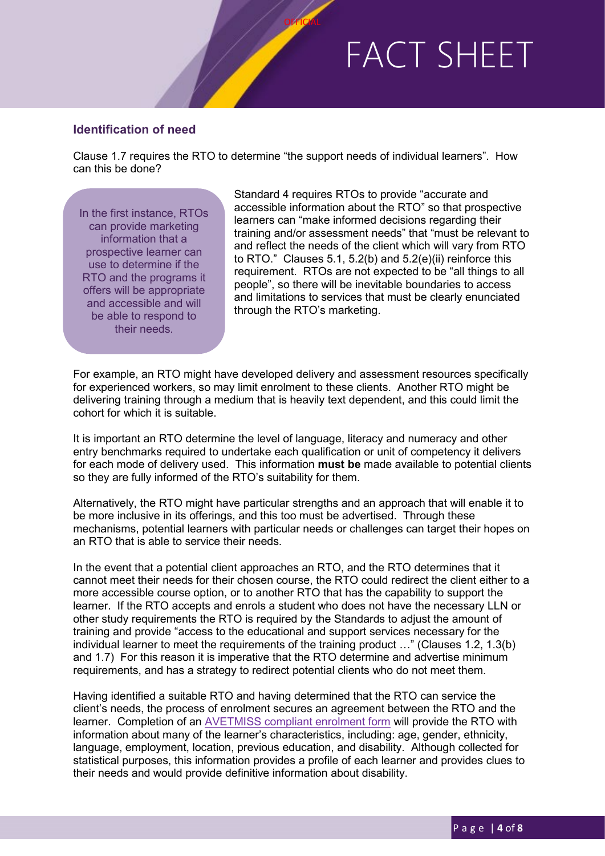#### **Identification of need**

Clause 1.7 requires the RTO to determine "the support needs of individual learners". How can this be done?

**OFFICIAL** 

In the first instance, RTOs can provide marketing information that a prospective learner can use to determine if the RTO and the programs it offers will be appropriate and accessible and will be able to respond to their needs.

Standard 4 requires RTOs to provide "accurate and accessible information about the RTO" so that prospective learners can "make informed decisions regarding their training and/or assessment needs" that "must be relevant to and reflect the needs of the client which will vary from RTO to RTO." Clauses 5.1, 5.2(b) and 5.2(e)(ii) reinforce this requirement. RTOs are not expected to be "all things to all people", so there will be inevitable boundaries to access and limitations to services that must be clearly enunciated through the RTO's marketing.

For example, an RTO might have developed delivery and assessment resources specifically for experienced workers, so may limit enrolment to these clients. Another RTO might be delivering training through a medium that is heavily text dependent, and this could limit the cohort for which it is suitable.

It is important an RTO determine the level of language, literacy and numeracy and other entry benchmarks required to undertake each qualification or unit of competency it delivers for each mode of delivery used. This information **must be** made available to potential clients so they are fully informed of the RTO's suitability for them.

Alternatively, the RTO might have particular strengths and an approach that will enable it to be more inclusive in its offerings, and this too must be advertised. Through these mechanisms, potential learners with particular needs or challenges can target their hopes on an RTO that is able to service their needs.

In the event that a potential client approaches an RTO, and the RTO determines that it cannot meet their needs for their chosen course, the RTO could redirect the client either to a more accessible course option, or to another RTO that has the capability to support the learner. If the RTO accepts and enrols a student who does not have the necessary LLN or other study requirements the RTO is required by the Standards to adjust the amount of training and provide "access to the educational and support services necessary for the individual learner to meet the requirements of the training product …" (Clauses 1.2, 1.3(b) and 1.7) For this reason it is imperative that the RTO determine and advertise minimum requirements, and has a strategy to redirect potential clients who do not meet them.

Having identified a suitable RTO and having determined that the RTO can service the client's needs, the process of enrolment secures an agreement between the RTO and the learner. Completion of an [AVETMISS compliant enrolment form](https://www.ncver.edu.au/publications/publications/all-publications/statistical-standard-software/standard-enrolment-questions-example-forms) will provide the RTO with information about many of the learner's characteristics, including: age, gender, ethnicity, language, employment, location, previous education, and disability. Although collected for statistical purposes, this information provides a profile of each learner and provides clues to their needs and would provide definitive information about disability.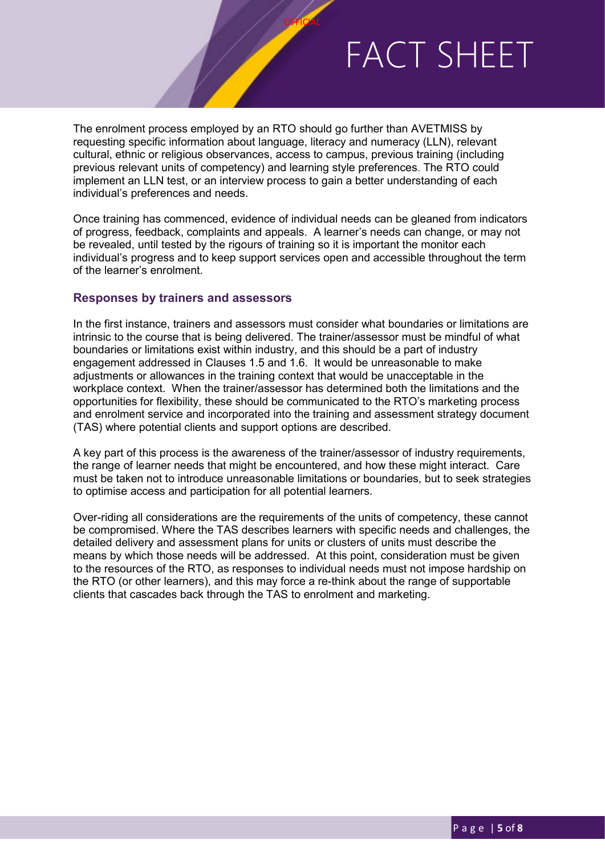The enrolment process employed by an RTO should go further than AVETMISS by requesting specific information about language, literacy and numeracy (LLN), relevant cultural, ethnic or religious observances, access to campus, previous training (including previous relevant units of competency) and learning style preferences. The RTO could implement an LLN test, or an interview process to gain a better understanding of each individual's preferences and needs.

**OFFICIAL** 

Once training has commenced, evidence of individual needs can be gleaned from indicators of progress, feedback, complaints and appeals. A learner's needs can change, or may not be revealed, until tested by the rigours of training so it is important the monitor each individual's progress and to keep support services open and accessible throughout the term of the learner's enrolment.

### **Responses by trainers and assessors**

In the first instance, trainers and assessors must consider what boundaries or limitations are intrinsic to the course that is being delivered. The trainer/assessor must be mindful of what boundaries or limitations exist within industry, and this should be a part of industry engagement addressed in Clauses 1.5 and 1.6. It would be unreasonable to make adjustments or allowances in the training context that would be unacceptable in the workplace context. When the trainer/assessor has determined both the limitations and the opportunities for flexibility, these should be communicated to the RTO's marketing process and enrolment service and incorporated into the training and assessment strategy document (TAS) where potential clients and support options are described.

A key part of this process is the awareness of the trainer/assessor of industry requirements, the range of learner needs that might be encountered, and how these might interact. Care must be taken not to introduce unreasonable limitations or boundaries, but to seek strategies to optimise access and participation for all potential learners.

Over-riding all considerations are the requirements of the units of competency, these cannot be compromised. Where the TAS describes learners with specific needs and challenges, the detailed delivery and assessment plans for units or clusters of units must describe the means by which those needs will be addressed. At this point, consideration must be given to the resources of the RTO, as responses to individual needs must not impose hardship on the RTO (or other learners), and this may force a re-think about the range of supportable clients that cascades back through the TAS to enrolment and marketing.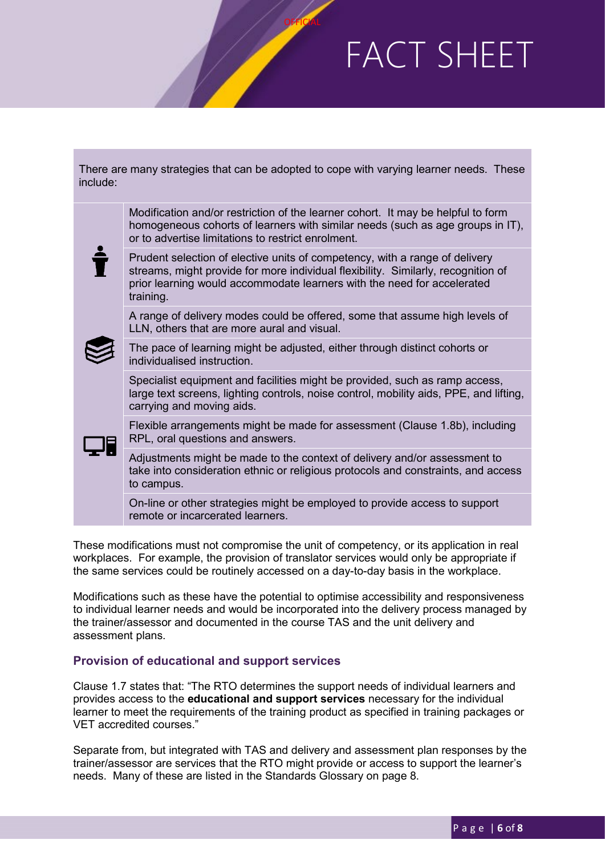| include: | There are many strategies that can be adopted to cope with varying learner needs. These                                                                                                                                                                  |
|----------|----------------------------------------------------------------------------------------------------------------------------------------------------------------------------------------------------------------------------------------------------------|
|          | Modification and/or restriction of the learner cohort. It may be helpful to form<br>homogeneous cohorts of learners with similar needs (such as age groups in IT),<br>or to advertise limitations to restrict enrolment.                                 |
|          | Prudent selection of elective units of competency, with a range of delivery<br>streams, might provide for more individual flexibility. Similarly, recognition of<br>prior learning would accommodate learners with the need for accelerated<br>training. |
|          | A range of delivery modes could be offered, some that assume high levels of<br>LLN, others that are more aural and visual.                                                                                                                               |
|          | The pace of learning might be adjusted, either through distinct cohorts or<br>individualised instruction.                                                                                                                                                |
|          | Specialist equipment and facilities might be provided, such as ramp access,<br>large text screens, lighting controls, noise control, mobility aids, PPE, and lifting,<br>carrying and moving aids.                                                       |
|          | Flexible arrangements might be made for assessment (Clause 1.8b), including<br>RPL, oral questions and answers.                                                                                                                                          |
|          | Adjustments might be made to the context of delivery and/or assessment to<br>take into consideration ethnic or religious protocols and constraints, and access<br>to campus.                                                                             |
|          | On-line or other strategies might be employed to provide access to support<br>remote or incarcerated learners.                                                                                                                                           |
|          |                                                                                                                                                                                                                                                          |

**OFFICIAL** 

These modifications must not compromise the unit of competency, or its application in real workplaces. For example, the provision of translator services would only be appropriate if the same services could be routinely accessed on a day-to-day basis in the workplace.

Modifications such as these have the potential to optimise accessibility and responsiveness to individual learner needs and would be incorporated into the delivery process managed by the trainer/assessor and documented in the course TAS and the unit delivery and assessment plans.

### **Provision of educational and support services**

Clause 1.7 states that: "The RTO determines the support needs of individual learners and provides access to the **educational and support services** necessary for the individual learner to meet the requirements of the training product as specified in training packages or VET accredited courses."

Separate from, but integrated with TAS and delivery and assessment plan responses by the trainer/assessor are services that the RTO might provide or access to support the learner's needs. Many of these are listed in the Standards Glossary on page 8.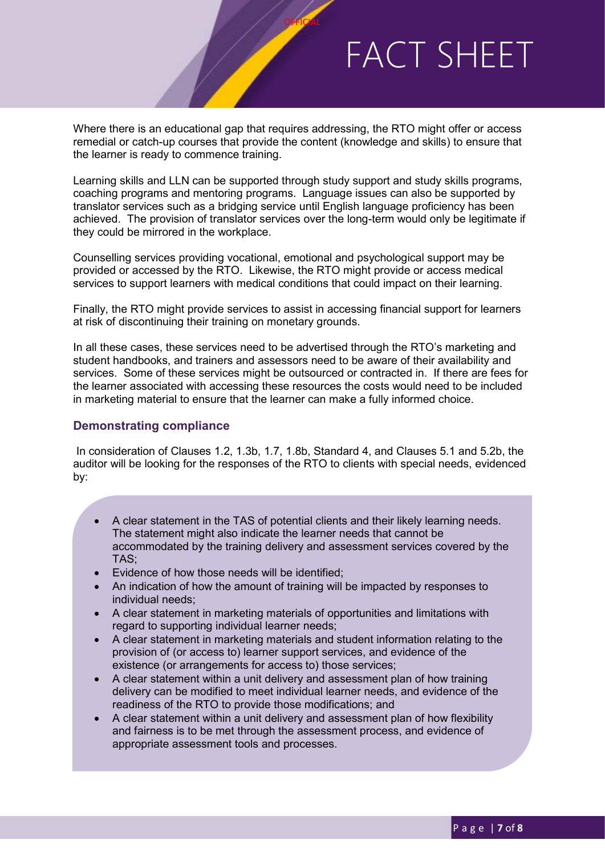Where there is an educational gap that requires addressing, the RTO might offer or access remedial or catch-up courses that provide the content (knowledge and skills) to ensure that the learner is ready to commence training.

**OFFICIAL** 

Learning skills and LLN can be supported through study support and study skills programs, coaching programs and mentoring programs. Language issues can also be supported by translator services such as a bridging service until English language proficiency has been achieved. The provision of translator services over the long-term would only be legitimate if they could be mirrored in the workplace.

Counselling services providing vocational, emotional and psychological support may be provided or accessed by the RTO. Likewise, the RTO might provide or access medical services to support learners with medical conditions that could impact on their learning.

Finally, the RTO might provide services to assist in accessing financial support for learners at risk of discontinuing their training on monetary grounds.

In all these cases, these services need to be advertised through the RTO's marketing and student handbooks, and trainers and assessors need to be aware of their availability and services. Some of these services might be outsourced or contracted in. If there are fees for the learner associated with accessing these resources the costs would need to be included in marketing material to ensure that the learner can make a fully informed choice.

#### **Demonstrating compliance**

In consideration of Clauses 1.2, 1.3b, 1.7, 1.8b, Standard 4, and Clauses 5.1 and 5.2b, the auditor will be looking for the responses of the RTO to clients with special needs, evidenced by:

- A clear statement in the TAS of potential clients and their likely learning needs. The statement might also indicate the learner needs that cannot be accommodated by the training delivery and assessment services covered by the TAS;
- Evidence of how those needs will be identified;
- An indication of how the amount of training will be impacted by responses to individual needs;
- A clear statement in marketing materials of opportunities and limitations with regard to supporting individual learner needs;
- A clear statement in marketing materials and student information relating to the provision of (or access to) learner support services, and evidence of the existence (or arrangements for access to) those services;
- A clear statement within a unit delivery and assessment plan of how training delivery can be modified to meet individual learner needs, and evidence of the readiness of the RTO to provide those modifications; and
- A clear statement within a unit delivery and assessment plan of how flexibility and fairness is to be met through the assessment process, and evidence of appropriate assessment tools and processes.